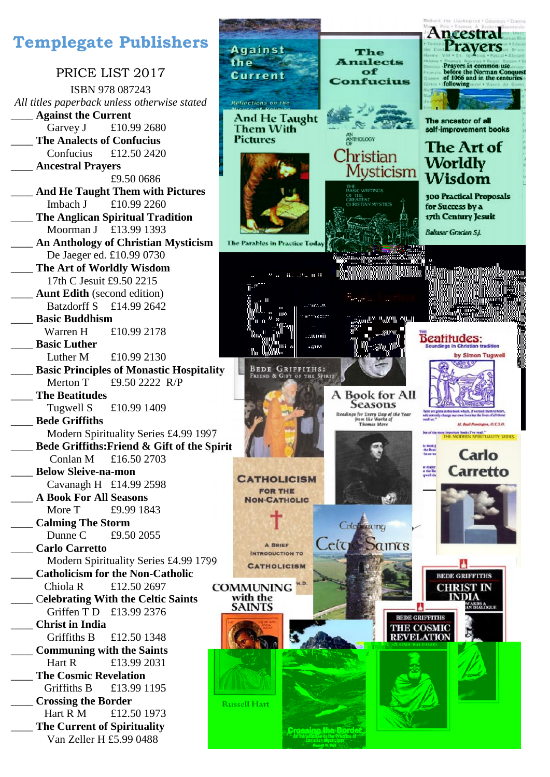## **Templegate Publishers**

PRICE LIST 2017 ISBN 978 087243 *All titles paperback unless otherwise stated* \_\_\_\_ **Against the Current** Garvey J £10.99 2680 \_\_\_\_ **The Analects of Confucius** Confucius £12.50 2420 \_\_\_\_ **Ancestral Prayers** £9.50 0686 \_\_\_\_ **And He Taught Them with Pictures** Imbach J £10.99 2260 \_\_\_\_ **The Anglican Spiritual Tradition** Moorman J £13.99 1393 An Anthology of Christian Mysticism The Parables in Practice Today De Jaeger ed. £10.99 0730 \_\_\_\_ **The Art of Worldly Wisdom** 17th C Jesuit £9.50 2215 Aunt Edith (second edition) Batzdorff S £14.99 2642 \_\_\_\_ **Basic Buddhism** Warren H £10.99 2178 \_\_\_\_ **Basic Luther** Luther M £10.99 2130 Basic Principles of Monastic Hospitality **BEDE GRIFFITHS:** Merton T £9.50 2222 R/P \_\_\_\_ **The Beatitudes** Tugwell S £10.99 1409 \_\_\_\_ **Bede Griffiths** Modern Spirituality Series £4.99 1997 \_\_\_\_ **Bede Griffiths:Friend & Gift of the Spirit** Conlan M £16.50 2703 \_\_\_\_ **Below Sleive-na-mon** Cavanagh H £14.99 2598 \_\_\_\_ **A Book For All Seasons** More T £9.99 1843 \_\_\_\_ **Calming The Storm** Dunne C £9.50 2055 \_\_\_\_ **Carlo Carretto** Modern Spirituality Series £4.99 1799 \_\_\_\_ **Catholicism for the Non-Catholic** Chiola R £12.50 2697 \_\_\_\_ C**elebrating With the Celtic Saints** Griffen T D £13.99 2376 \_\_\_\_ **Christ in India** Griffiths B £12.50 1348 \_\_\_\_ **Communing with the Saints** Hart R £13.99 2031 \_\_\_\_ **The Cosmic Revelation** Griffiths B £13.99 1195 \_\_\_\_ **Crossing the Border** Hart R M £12.50 1973 \_\_\_\_ **The Current of Spirituality** Van Zeller H £5.99 0488

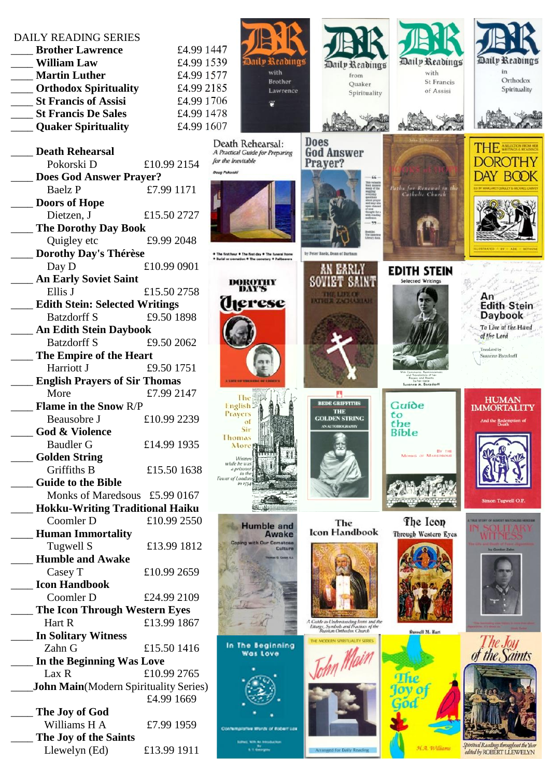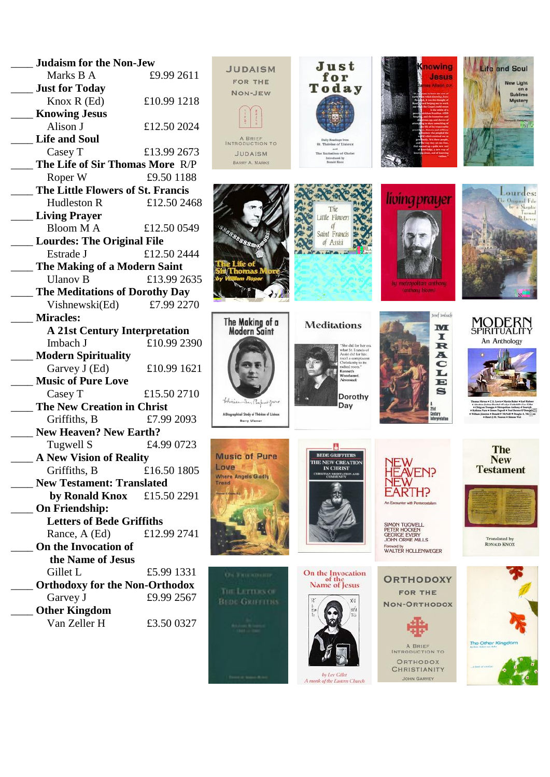\_\_\_\_ **Judaism for the Non-Jew** Marks B A  $\text{E}9.99\,2611$  For the Number of the set of the set of the set of the set of the set of the set of the set of the set of the set of the set of the set of the set of the set of the set of the set of the set of \_\_\_\_ **Just for Today Knox R** (Ed)  $£10.99 1218$  Non-Jew \_\_\_\_ **Knowing Jesus** Alison J  $\text{\textsterling}12.50\ 2024$ \_\_\_\_ **Life and Soul** Casey T £13.99 2673 JUDAISM **The Life of Sir Thomas More** R/P **EARRY A. MARKS** Roper W £9.50 1188 \_\_\_\_ **The Little Flowers of St. Francis** Hudleston R £12.50 2468 \_\_\_\_ **Living Prayer** Bloom M A £12.50 0549 \_\_\_\_ **Lourdes: The Original File** Estrade J  $£12.50 2444$ \_\_\_\_ **The Making of a Modern Saint** Ulanov B  $£13.99 2635$ \_\_\_\_ **The Meditations of Dorothy Day** Vishnewski(Ed) £7.99 2270 \_\_\_\_ **Miracles: A 21st Century Interpretation** Imbach J  $£10.99 2390$ \_\_\_\_ **Modern Spirituality** Garvey J (Ed)  $\text{\textsterling}10.99\ 1621$ \_\_\_\_ **Music of Pure Love** Casey T £15.50 2710 \_\_\_\_ **The New Creation in Christ** Griffiths, B  $\begin{array}{|c|c|c|c|c|}\hline & & & \multicolumn{1}{c|}{\text{Allogapihial Sbyl of Thérts of List}} \\ \hline \end{array}$ \_\_\_\_ **New Heaven? New Earth?** Tugwell S  $\text{£}4.99\text{ }0723$ \_\_\_\_ **A New Vision of Reality** Griffiths, B £16.50 1805<br>
PW Testament: Translated \_\_\_\_ **New Testament: Translated by Ronald Knox** £15.50 2291 \_\_\_\_ **On Friendship: Letters of Bede Griffiths** Rance, A (Ed) £12.99 2741 \_\_\_\_ **On the Invocation of the Name of Jesus** Gillet L 65.99 1331 \_\_\_\_ **Orthodoxy for the Non-Orthodox** Garvey J  $\text{\pounds}9.99\ 2567$  **Equipment** Gamman **Equipment** \_\_\_\_ **Other Kingdom** Van Zeller H $\text{\textsterling}3.50\,0327$